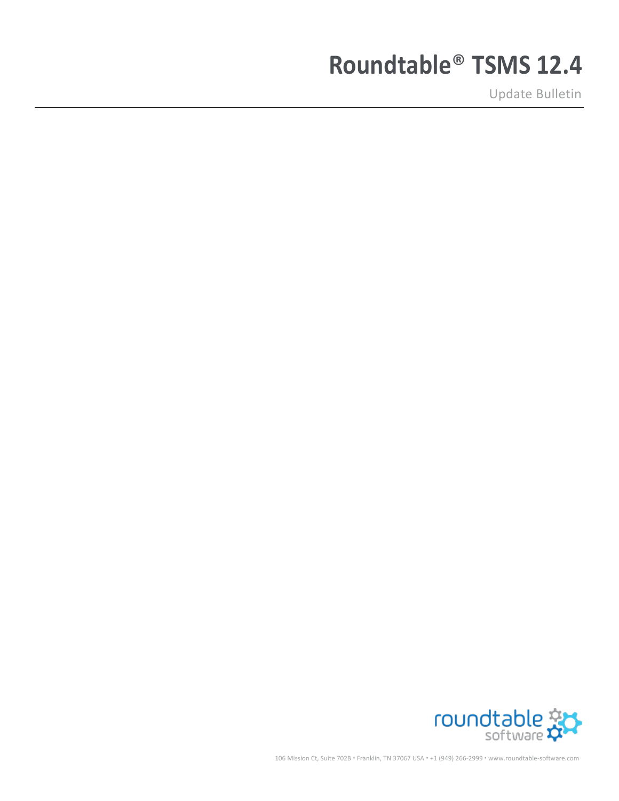# **Roundtable**® **TSMS 12.4**

Update Bulletin



106 Mission Ct, Suite 702B • Franklin, TN 37067 USA • +1 (949) 266-2999 • www.roundtable-software.com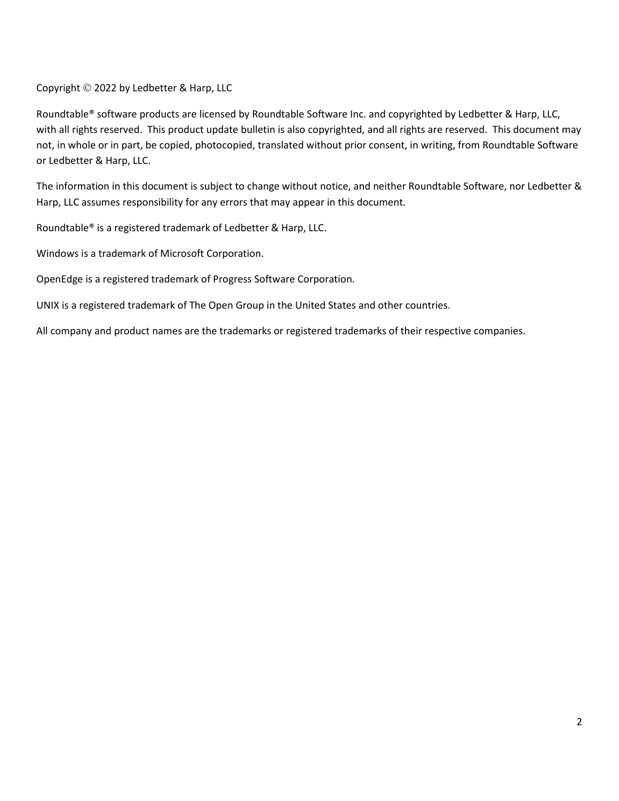Copyright © 2022 by Ledbetter & Harp, LLC

Roundtable® software products are licensed by Roundtable Software Inc. and copyrighted by Ledbetter & Harp, LLC, with all rights reserved. This product update bulletin is also copyrighted, and all rights are reserved. This document may not, in whole or in part, be copied, photocopied, translated without prior consent, in writing, from Roundtable Software or Ledbetter & Harp, LLC.

The information in this document is subject to change without notice, and neither Roundtable Software, nor Ledbetter & Harp, LLC assumes responsibility for any errors that may appear in this document.

Roundtable® is a registered trademark of Ledbetter & Harp, LLC.

Windows is a trademark of Microsoft Corporation.

OpenEdge is a registered trademark of Progress Software Corporation.

UNIX is a registered trademark of The Open Group in the United States and other countries.

All company and product names are the trademarks or registered trademarks of their respective companies.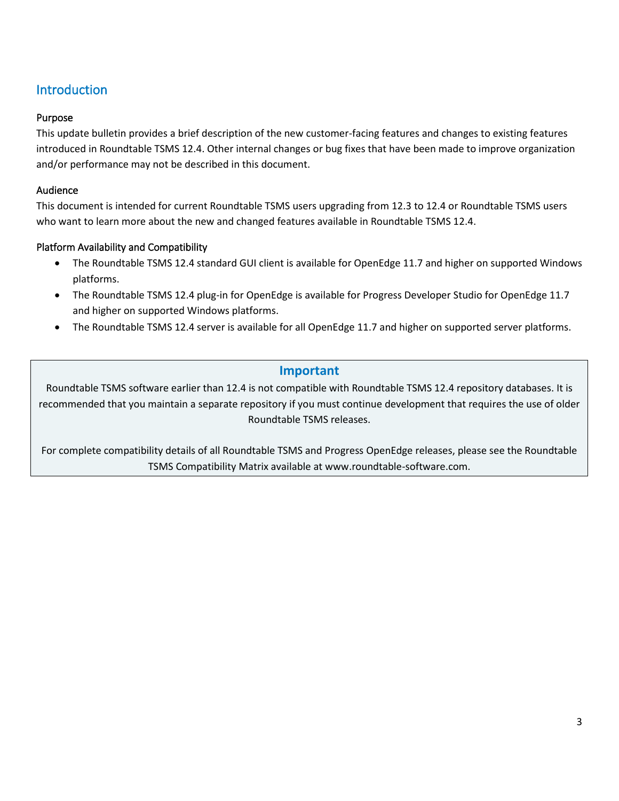# Introduction

## Purpose

This update bulletin provides a brief description of the new customer-facing features and changes to existing features introduced in Roundtable TSMS 12.4. Other internal changes or bug fixes that have been made to improve organization and/or performance may not be described in this document.

## Audience

This document is intended for current Roundtable TSMS users upgrading from 12.3 to 12.4 or Roundtable TSMS users who want to learn more about the new and changed features available in Roundtable TSMS 12.4.

# Platform Availability and Compatibility

- The Roundtable TSMS 12.4 standard GUI client is available for OpenEdge 11.7 and higher on supported Windows platforms.
- The Roundtable TSMS 12.4 plug-in for OpenEdge is available for Progress Developer Studio for OpenEdge 11.7 and higher on supported Windows platforms.
- The Roundtable TSMS 12.4 server is available for all OpenEdge 11.7 and higher on supported server platforms.

# **Important**

Roundtable TSMS software earlier than 12.4 is not compatible with Roundtable TSMS 12.4 repository databases. It is recommended that you maintain a separate repository if you must continue development that requires the use of older Roundtable TSMS releases.

For complete compatibility details of all Roundtable TSMS and Progress OpenEdge releases, please see the Roundtable TSMS Compatibility Matrix available at www.roundtable-software.com.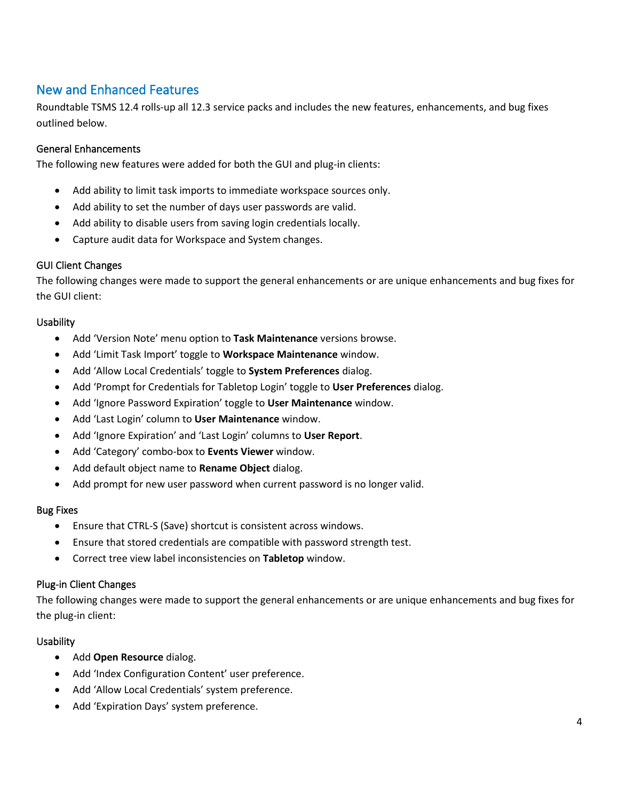# New and Enhanced Features

Roundtable TSMS 12.4 rolls-up all 12.3 service packs and includes the new features, enhancements, and bug fixes outlined below.

### General Enhancements

The following new features were added for both the GUI and plug-in clients:

- Add ability to limit task imports to immediate workspace sources only.
- Add ability to set the number of days user passwords are valid.
- Add ability to disable users from saving login credentials locally.
- Capture audit data for Workspace and System changes.

#### GUI Client Changes

The following changes were made to support the general enhancements or are unique enhancements and bug fixes for the GUI client:

#### **Usability**

- Add 'Version Note' menu option to **Task Maintenance** versions browse.
- Add 'Limit Task Import' toggle to **Workspace Maintenance** window.
- Add 'Allow Local Credentials' toggle to **System Preferences** dialog.
- Add 'Prompt for Credentials for Tabletop Login' toggle to **User Preferences** dialog.
- Add 'Ignore Password Expiration' toggle to **User Maintenance** window.
- Add 'Last Login' column to **User Maintenance** window.
- Add 'Ignore Expiration' and 'Last Login' columns to **User Report**.
- Add 'Category' combo-box to **Events Viewer** window.
- Add default object name to **Rename Object** dialog.
- Add prompt for new user password when current password is no longer valid.

#### Bug Fixes

- Ensure that CTRL-S (Save) shortcut is consistent across windows.
- Ensure that stored credentials are compatible with password strength test.
- Correct tree view label inconsistencies on **Tabletop** window.

#### Plug-in Client Changes

The following changes were made to support the general enhancements or are unique enhancements and bug fixes for the plug-in client:

#### **Usability**

- Add **Open Resource** dialog.
- Add 'Index Configuration Content' user preference.
- Add 'Allow Local Credentials' system preference.
- Add 'Expiration Days' system preference.